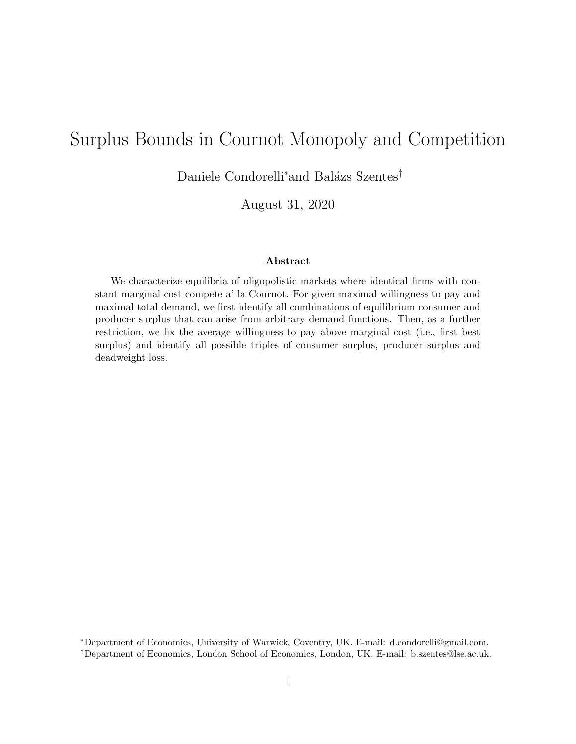# Surplus Bounds in Cournot Monopoly and Competition

Daniele Condorelli<sup>∗</sup>and Balázs Szentes<sup>†</sup>

August 31, 2020

#### Abstract

We characterize equilibria of oligopolistic markets where identical firms with constant marginal cost compete a' la Cournot. For given maximal willingness to pay and maximal total demand, we first identify all combinations of equilibrium consumer and producer surplus that can arise from arbitrary demand functions. Then, as a further restriction, we fix the average willingness to pay above marginal cost (i.e., first best surplus) and identify all possible triples of consumer surplus, producer surplus and deadweight loss.

<sup>∗</sup>Department of Economics, University of Warwick, Coventry, UK. E-mail: d.condorelli@gmail.com. †Department of Economics, London School of Economics, London, UK. E-mail: b.szentes@lse.ac.uk.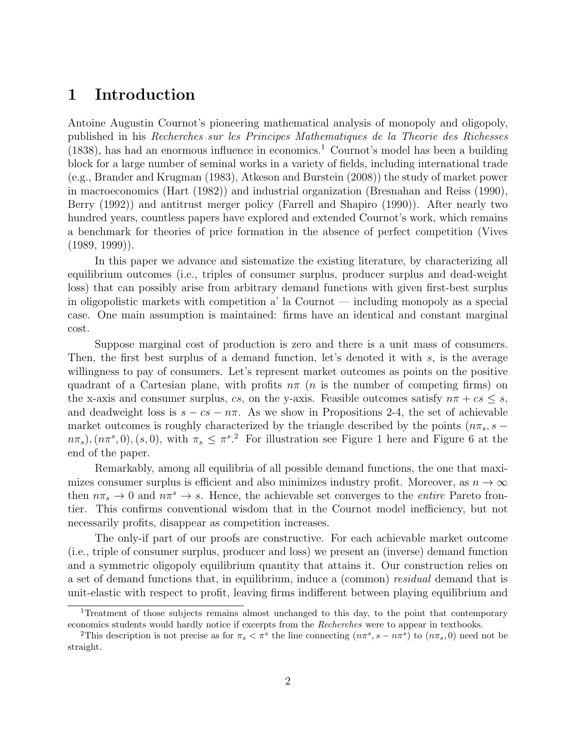### 1 Introduction

Antoine Augustin Cournot's pioneering mathematical analysis of monopoly and oligopoly, published in his Recherches sur les Principes Mathematiques de la Theorie des Richesses  $(1838)$ , has had an enormous influence in economics.<sup>1</sup> Cournot's model has been a building block for a large number of seminal works in a variety of fields, including international trade (e.g., Brander and Krugman (1983), Atkeson and Burstein (2008)) the study of market power in macroeconomics (Hart (1982)) and industrial organization (Bresnahan and Reiss (1990), Berry (1992)) and antitrust merger policy (Farrell and Shapiro (1990)). After nearly two hundred years, countless papers have explored and extended Cournot's work, which remains a benchmark for theories of price formation in the absence of perfect competition (Vives  $(1989, 1999)$ .

In this paper we advance and sistematize the existing literature, by characterizing all equilibrium outcomes (i.e., triples of consumer surplus, producer surplus and dead-weight loss) that can possibly arise from arbitrary demand functions with given first-best surplus in oligopolistic markets with competition a' la Cournot — including monopoly as a special case. One main assumption is maintained: firms have an identical and constant marginal cost.

Suppose marginal cost of production is zero and there is a unit mass of consumers. Then, the first best surplus of a demand function, let's denoted it with s, is the average willingness to pay of consumers. Let's represent market outcomes as points on the positive quadrant of a Cartesian plane, with profits  $n\pi$  (*n* is the number of competing firms) on the x-axis and consumer surplus, cs, on the y-axis. Feasible outcomes satisfy  $n\pi + c s \leq s$ , and deadweight loss is  $s - cs - n\pi$ . As we show in Propositions 2-4, the set of achievable market outcomes is roughly characterized by the triangle described by the points ( $n\pi_s$ , s –  $(n\pi_s)$ ,  $(n\pi^s, 0)$ ,  $(s, 0)$ , with  $\pi_s \leq \pi^s$ . For illustration see Figure 1 here and Figure 6 at the end of the paper.

Remarkably, among all equilibria of all possible demand functions, the one that maximizes consumer surplus is efficient and also minimizes industry profit. Moreover, as  $n \to \infty$ then  $n\pi_s \to 0$  and  $n\pi^s \to s$ . Hence, the achievable set converges to the *entire* Pareto frontier. This confirms conventional wisdom that in the Cournot model inefficiency, but not necessarily profits, disappear as competition increases.

The only-if part of our proofs are constructive. For each achievable market outcome (i.e., triple of consumer surplus, producer and loss) we present an (inverse) demand function and a symmetric oligopoly equilibrium quantity that attains it. Our construction relies on a set of demand functions that, in equilibrium, induce a (common) residual demand that is unit-elastic with respect to profit, leaving firms indifferent between playing equilibrium and

<sup>&</sup>lt;sup>1</sup>Treatment of those subjects remains almost unchanged to this day, to the point that contemporary economics students would hardly notice if excerpts from the Recherches were to appear in textbooks.

<sup>&</sup>lt;sup>2</sup>This description is not precise as for  $\pi_s < \pi^s$  the line connecting  $(n\pi^s, s - n\pi^s)$  to  $(n\pi_s, 0)$  need not be straight.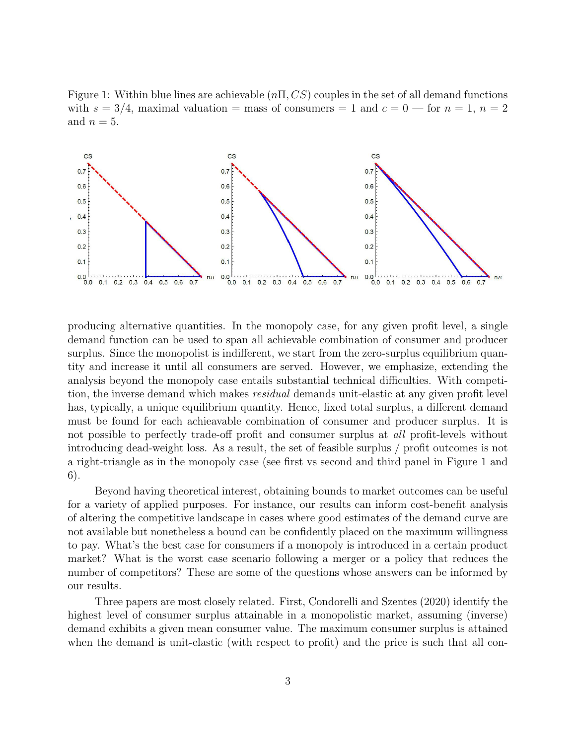Figure 1: Within blue lines are achievable  $(n\Pi, CS)$  couples in the set of all demand functions with  $s = 3/4$ , maximal valuation = mass of consumers = 1 and  $c = 0$  — for  $n = 1$ ,  $n = 2$ and  $n = 5$ .



producing alternative quantities. In the monopoly case, for any given profit level, a single demand function can be used to span all achievable combination of consumer and producer surplus. Since the monopolist is indifferent, we start from the zero-surplus equilibrium quantity and increase it until all consumers are served. However, we emphasize, extending the analysis beyond the monopoly case entails substantial technical difficulties. With competition, the inverse demand which makes *residual* demands unit-elastic at any given profit level has, typically, a unique equilibrium quantity. Hence, fixed total surplus, a different demand must be found for each achieavable combination of consumer and producer surplus. It is not possible to perfectly trade-off profit and consumer surplus at all profit-levels without introducing dead-weight loss. As a result, the set of feasible surplus / profit outcomes is not a right-triangle as in the monopoly case (see first vs second and third panel in Figure 1 and 6).

Beyond having theoretical interest, obtaining bounds to market outcomes can be useful for a variety of applied purposes. For instance, our results can inform cost-benefit analysis of altering the competitive landscape in cases where good estimates of the demand curve are not available but nonetheless a bound can be confidently placed on the maximum willingness to pay. What's the best case for consumers if a monopoly is introduced in a certain product market? What is the worst case scenario following a merger or a policy that reduces the number of competitors? These are some of the questions whose answers can be informed by our results.

Three papers are most closely related. First, Condorelli and Szentes (2020) identify the highest level of consumer surplus attainable in a monopolistic market, assuming (inverse) demand exhibits a given mean consumer value. The maximum consumer surplus is attained when the demand is unit-elastic (with respect to profit) and the price is such that all con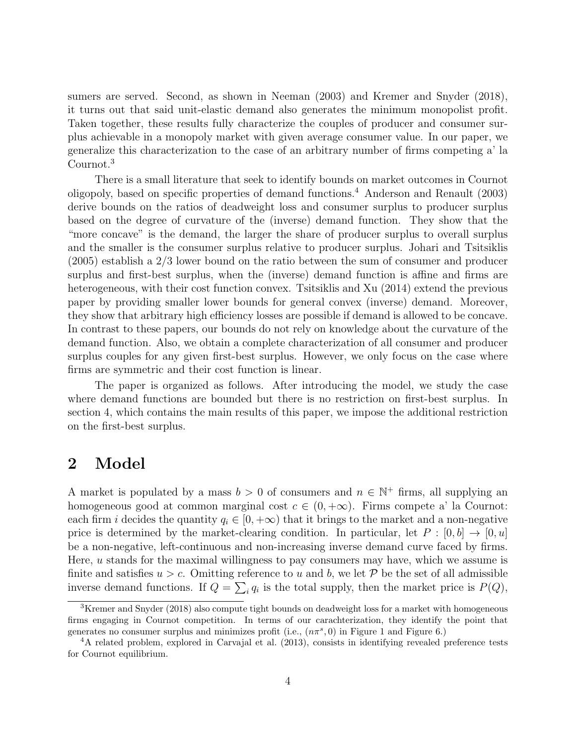sumers are served. Second, as shown in Neeman (2003) and Kremer and Snyder (2018), it turns out that said unit-elastic demand also generates the minimum monopolist profit. Taken together, these results fully characterize the couples of producer and consumer surplus achievable in a monopoly market with given average consumer value. In our paper, we generalize this characterization to the case of an arbitrary number of firms competing a' la Cournot.<sup>3</sup>

There is a small literature that seek to identify bounds on market outcomes in Cournot oligopoly, based on specific properties of demand functions.<sup>4</sup> Anderson and Renault (2003) derive bounds on the ratios of deadweight loss and consumer surplus to producer surplus based on the degree of curvature of the (inverse) demand function. They show that the "more concave" is the demand, the larger the share of producer surplus to overall surplus and the smaller is the consumer surplus relative to producer surplus. Johari and Tsitsiklis (2005) establish a 2/3 lower bound on the ratio between the sum of consumer and producer surplus and first-best surplus, when the (inverse) demand function is affine and firms are heterogeneous, with their cost function convex. Tsitsiklis and Xu (2014) extend the previous paper by providing smaller lower bounds for general convex (inverse) demand. Moreover, they show that arbitrary high efficiency losses are possible if demand is allowed to be concave. In contrast to these papers, our bounds do not rely on knowledge about the curvature of the demand function. Also, we obtain a complete characterization of all consumer and producer surplus couples for any given first-best surplus. However, we only focus on the case where firms are symmetric and their cost function is linear.

The paper is organized as follows. After introducing the model, we study the case where demand functions are bounded but there is no restriction on first-best surplus. In section 4, which contains the main results of this paper, we impose the additional restriction on the first-best surplus.

#### 2 Model

A market is populated by a mass  $b > 0$  of consumers and  $n \in \mathbb{N}^+$  firms, all supplying an homogeneous good at common marginal cost  $c \in (0, +\infty)$ . Firms compete a' la Cournot: each firm i decides the quantity  $q_i \in [0, +\infty)$  that it brings to the market and a non-negative price is determined by the market-clearing condition. In particular, let  $P : [0, b] \to [0, u]$ be a non-negative, left-continuous and non-increasing inverse demand curve faced by firms. Here,  $u$  stands for the maximal willingness to pay consumers may have, which we assume is finite and satisfies  $u > c$ . Omitting reference to u and b, we let P be the set of all admissible inverse demand functions. If  $Q = \sum_i q_i$  is the total supply, then the market price is  $P(Q)$ ,

<sup>&</sup>lt;sup>3</sup>Kremer and Snyder (2018) also compute tight bounds on deadweight loss for a market with homogeneous firms engaging in Cournot competition. In terms of our carachterization, they identify the point that generates no consumer surplus and minimizes profit (i.e.,  $(n\pi^s, 0)$  in Figure 1 and Figure 6.)

 ${}^{4}A$  related problem, explored in Carvajal et al. (2013), consists in identifying revealed preference tests for Cournot equilibrium.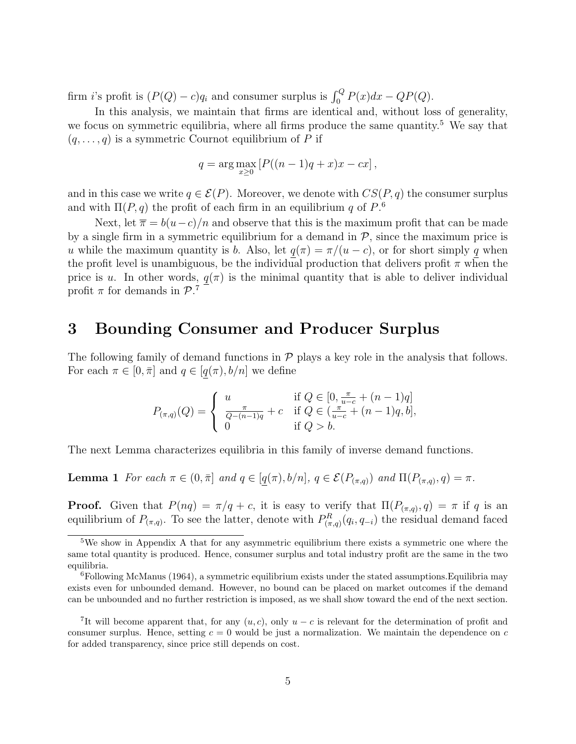firm *i*'s profit is  $(P(Q) - c)q_i$  and consumer surplus is  $\int_0^Q P(x)dx - QP(Q)$ .

In this analysis, we maintain that firms are identical and, without loss of generality, we focus on symmetric equilibria, where all firms produce the same quantity.<sup>5</sup> We say that  $(q, \ldots, q)$  is a symmetric Cournot equilibrium of P if

$$
q = \arg \max_{x \geq 0} [P((n-1)q + x)x - cx],
$$

and in this case we write  $q \in \mathcal{E}(P)$ . Moreover, we denote with  $CS(P, q)$  the consumer surplus and with  $\Pi(P, q)$  the profit of each firm in an equilibrium q of  $P^6$ .

Next, let  $\bar{\pi} = b(u-c)/n$  and observe that this is the maximum profit that can be made by a single firm in a symmetric equilibrium for a demand in  $P$ , since the maximum price is u while the maximum quantity is b. Also, let  $q(\pi) = \pi/(u - c)$ , or for short simply q when the profit level is unambiguous, be the individual production that delivers profit  $\pi$  when the price is u. In other words,  $q(\pi)$  is the minimal quantity that is able to deliver individual profit  $\pi$  for demands in  $\mathcal{P}.^7$ 

### 3 Bounding Consumer and Producer Surplus

The following family of demand functions in  $P$  plays a key role in the analysis that follows. For each  $\pi \in [0, \bar{\pi}]$  and  $q \in [q(\pi), b/n]$  we define

$$
P_{(\pi,q)}(Q) = \begin{cases} u & \text{if } Q \in [0, \frac{\pi}{u-c} + (n-1)q] \\ \frac{\pi}{Q - (n-1)q} + c & \text{if } Q \in (\frac{\pi}{u-c} + (n-1)q, b], \\ 0 & \text{if } Q > b. \end{cases}
$$

The next Lemma characterizes equilibria in this family of inverse demand functions.

**Lemma 1** For each  $\pi \in (0, \bar{\pi}]$  and  $q \in [q(\pi), b/n]$ ,  $q \in \mathcal{E}(P_{(\pi,q)})$  and  $\Pi(P_{(\pi,q)}, q) = \pi$ .

**Proof.** Given that  $P(nq) = \pi/q + c$ , it is easy to verify that  $\Pi(P_{(\pi,q)}, q) = \pi$  if q is an equilibrium of  $P_{(\pi,q)}$ . To see the latter, denote with  $P_{(\pi,q)}^R(q_i,q_{-i})$  the residual demand faced

<sup>5</sup>We show in Appendix A that for any asymmetric equilibrium there exists a symmetric one where the same total quantity is produced. Hence, consumer surplus and total industry profit are the same in the two equilibria.

 ${}^{6}$ Following McManus (1964), a symmetric equilibrium exists under the stated assumptions. Equilibria may exists even for unbounded demand. However, no bound can be placed on market outcomes if the demand can be unbounded and no further restriction is imposed, as we shall show toward the end of the next section.

<sup>&</sup>lt;sup>7</sup>It will become apparent that, for any  $(u, c)$ , only  $u - c$  is relevant for the determination of profit and consumer surplus. Hence, setting  $c = 0$  would be just a normalization. We maintain the dependence on c for added transparency, since price still depends on cost.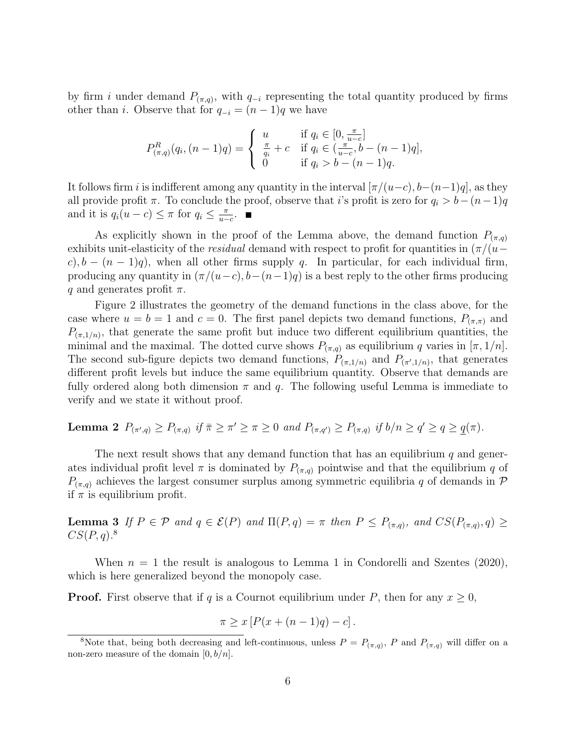by firm i under demand  $P_{(\pi,q)}$ , with  $q_{-i}$  representing the total quantity produced by firms other than *i*. Observe that for  $q_{-i} = (n-1)q$  we have

$$
P_{(\pi,q)}^{R}(q_i, (n-1)q) = \begin{cases} u & \text{if } q_i \in [0, \frac{\pi}{u-c}] \\ \frac{\pi}{q_i} + c & \text{if } q_i \in (\frac{\pi}{u-c}, b-(n-1)q], \\ 0 & \text{if } q_i > b-(n-1)q. \end{cases}
$$

It follows firm i is indifferent among any quantity in the interval  $[\pi/(u-c), b-(n-1)q]$ , as they all provide profit  $\pi$ . To conclude the proof, observe that i's profit is zero for  $q_i > b-(n-1)q$ and it is  $q_i(u-c) \leq \pi$  for  $q_i \leq \frac{\pi}{u-c}$  $\frac{\pi}{u-c}$ .

As explicitly shown in the proof of the Lemma above, the demand function  $P_{(\pi,q)}$ exhibits unit-elasticity of the *residual* demand with respect to profit for quantities in  $(\pi/(u−$ c),  $b - (n-1)q$ , when all other firms supply q. In particular, for each individual firm, producing any quantity in  $(\pi/(u-c), b-(n-1)q)$  is a best reply to the other firms producing q and generates profit  $\pi$ .

Figure 2 illustrates the geometry of the demand functions in the class above, for the case where  $u = b = 1$  and  $c = 0$ . The first panel depicts two demand functions,  $P_{(\pi,\pi)}$  and  $P_{(\pi,1/n)}$ , that generate the same profit but induce two different equilibrium quantities, the minimal and the maximal. The dotted curve shows  $P_{(\pi,q)}$  as equilibrium q varies in  $[\pi,1/n]$ . The second sub-figure depicts two demand functions,  $P_{(\pi,1/n)}$  and  $P_{(\pi',1/n)}$ , that generates different profit levels but induce the same equilibrium quantity. Observe that demands are fully ordered along both dimension  $\pi$  and  $q$ . The following useful Lemma is immediate to verify and we state it without proof.

**Lemma 2**  $P_{(\pi',q)} \geq P_{(\pi,q)}$  if  $\bar{\pi} \geq \pi' \geq \pi \geq 0$  and  $P_{(\pi,q')} \geq P_{(\pi,q)}$  if  $b/n \geq q' \geq q \geq q(\pi)$ .

The next result shows that any demand function that has an equilibrium  $q$  and generates individual profit level  $\pi$  is dominated by  $P_{(\pi,q)}$  pointwise and that the equilibrium q of  $P_{(\pi,q)}$  achieves the largest consumer surplus among symmetric equilibria q of demands in  $\mathcal P$ if  $\pi$  is equilibrium profit.

**Lemma 3** If  $P \in \mathcal{P}$  and  $q \in \mathcal{E}(P)$  and  $\Pi(P,q) = \pi$  then  $P \leq P_{(\pi,q)}$ , and  $CS(P_{(\pi,q)}, q) \geq$  $CS(P, q).$ <sup>8</sup>

When  $n = 1$  the result is analogous to Lemma 1 in Condorelli and Szentes (2020), which is here generalized beyond the monopoly case.

**Proof.** First observe that if q is a Cournot equilibrium under P, then for any  $x \geq 0$ ,

$$
\pi \ge x \left[ P(x + (n-1)q) - c \right].
$$

<sup>&</sup>lt;sup>8</sup>Note that, being both decreasing and left-continuous, unless  $P = P_{(\pi,q)}$ , P and  $P_{(\pi,q)}$  will differ on a non-zero measure of the domain  $[0, b/n]$ .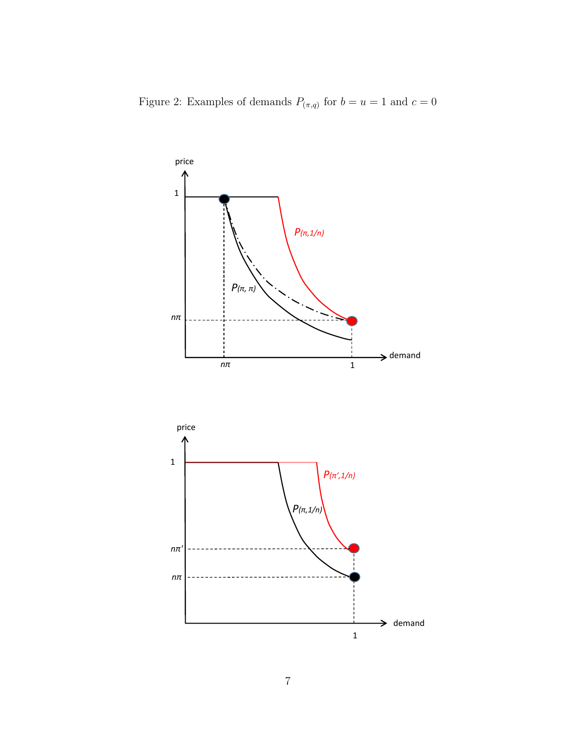Figure 2: Examples of demands  $P_{(\pi,q)}$  for  $b=u=1$  and  $c=0$ 

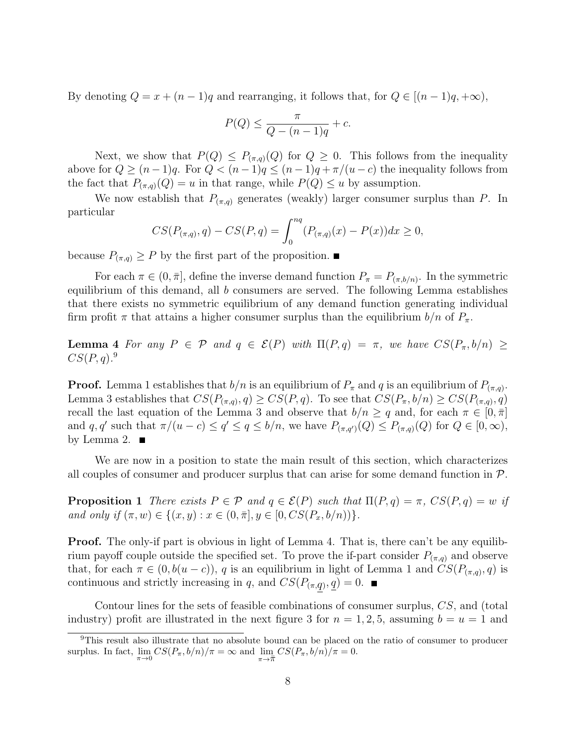By denoting  $Q = x + (n-1)q$  and rearranging, it follows that, for  $Q \in [(n-1)q, +\infty)$ ,

$$
P(Q) \le \frac{\pi}{Q - (n-1)q} + c.
$$

Next, we show that  $P(Q) \leq P_{(\pi,q)}(Q)$  for  $Q \geq 0$ . This follows from the inequality above for  $Q \ge (n-1)q$ . For  $Q < (n-1)q \le (n-1)q + \pi/(u-c)$  the inequality follows from the fact that  $P_{(\pi,q)}(Q) = u$  in that range, while  $P(Q) \leq u$  by assumption.

We now establish that  $P_{(\pi,q)}$  generates (weakly) larger consumer surplus than P. In particular

$$
CS(P_{(\pi,q)}, q) - CS(P, q) = \int_0^{nq} (P_{(\pi,q)}(x) - P(x))dx \ge 0,
$$

because  $P_{(\pi,q)} \geq P$  by the first part of the proposition.

For each  $\pi \in (0, \bar{\pi}],$  define the inverse demand function  $P_{\pi} = P_{(\pi, b/n)}$ . In the symmetric equilibrium of this demand, all  $b$  consumers are served. The following Lemma establishes that there exists no symmetric equilibrium of any demand function generating individual firm profit  $\pi$  that attains a higher consumer surplus than the equilibrium  $b/n$  of  $P_{\pi}$ .

Lemma 4 For any  $P \in \mathcal{P}$  and  $q \in \mathcal{E}(P)$  with  $\Pi(P,q) = \pi$ , we have  $CS(P_{\pi}, b/n) \ge$  $CS(P, q).$ <sup>9</sup>

**Proof.** Lemma 1 establishes that  $b/n$  is an equilibrium of  $P_{\pi}$  and q is an equilibrium of  $P_{(\pi,q)}$ . Lemma 3 establishes that  $CS(P_{(\pi,q)}, q) \geq CS(P, q)$ . To see that  $CS(P_{\pi}, b/n) \geq CS(P_{(\pi,q)}, q)$ recall the last equation of the Lemma 3 and observe that  $b/n \geq q$  and, for each  $\pi \in [0, \bar{\pi}]$ and q, q' such that  $\pi/(u-c) \le q' \le q \le b/n$ , we have  $P_{(\pi,q')}(Q) \le P_{(\pi,q)}(Q)$  for  $Q \in [0,\infty)$ , by Lemma 2.

We are now in a position to state the main result of this section, which characterizes all couples of consumer and producer surplus that can arise for some demand function in P.

**Proposition 1** There exists  $P \in \mathcal{P}$  and  $q \in \mathcal{E}(P)$  such that  $\Pi(P,q) = \pi$ ,  $CS(P,q) = w$  if and only if  $(\pi, w) \in \{(x, y) : x \in (0, \bar{\pi}], y \in [0, CS(P_x, b/n))\}.$ 

**Proof.** The only-if part is obvious in light of Lemma 4. That is, there can't be any equilibrium payoff couple outside the specified set. To prove the if-part consider  $P_{(\pi,q)}$  and observe that, for each  $\pi \in (0, b(u-c))$ , q is an equilibrium in light of Lemma 1 and  $CS(P_{(\pi,q)}, q)$  is continuous and strictly increasing in q, and  $CS(P_{(\pi,q)}, \underline{q}) = 0$ .

Contour lines for the sets of feasible combinations of consumer surplus, CS, and (total industry) profit are illustrated in the next figure 3 for  $n = 1, 2, 5$ , assuming  $b = u = 1$  and

<sup>&</sup>lt;sup>9</sup>This result also illustrate that no absolute bound can be placed on the ratio of consumer to producer surplus. In fact,  $\lim_{\pi \to 0} CS(P_{\pi}, b/n)/\pi = \infty$  and  $\lim_{\pi \to \overline{\pi}} CS(P_{\pi}, b/n)/\pi = 0$ .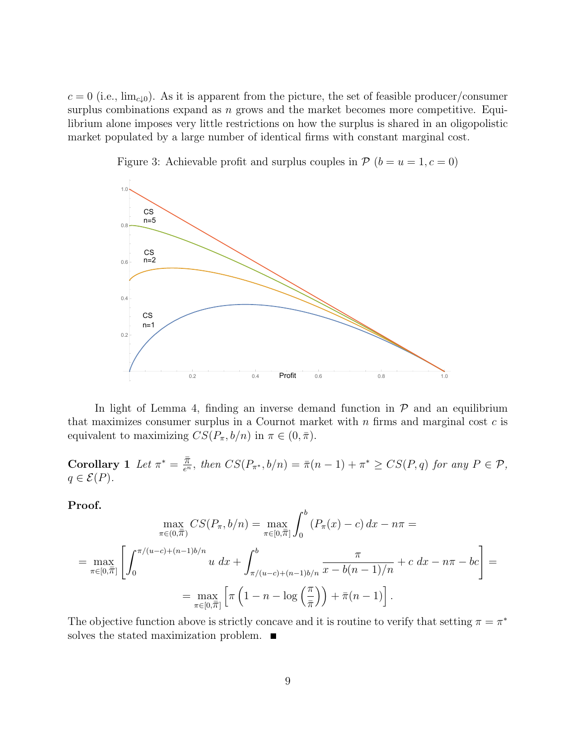$c = 0$  (i.e., lim<sub>c↓0</sub>). As it is apparent from the picture, the set of feasible producer/consumer surplus combinations expand as  $n$  grows and the market becomes more competitive. Equilibrium alone imposes very little restrictions on how the surplus is shared in an oligopolistic market populated by a large number of identical firms with constant marginal cost.



Figure 3: Achievable profit and surplus couples in  $P(b = u = 1, c = 0)$ 

In light of Lemma 4, finding an inverse demand function in  $P$  and an equilibrium that maximizes consumer surplus in a Cournot market with  $n$  firms and marginal cost  $c$  is equivalent to maximizing  $CS(P_\pi, b/n)$  in  $\pi \in (0, \bar{\pi})$ .

Corollary 1 Let  $\pi^* = \frac{\overline{\pi}}{e^n}$ , then  $CS(P_{\pi^*}, b/n) = \overline{\pi}(n-1) + \pi^* \geq CS(P, q)$  for any  $P \in \mathcal{P}$ ,  $q \in \mathcal{E}(P)$ .

Proof.

$$
\max_{\pi \in (0,\overline{\pi})} CS(P_{\pi}, b/n) = \max_{\pi \in [0,\overline{\pi}]} \int_{0}^{b} (P_{\pi}(x) - c) dx - n\pi =
$$
\n
$$
= \max_{\pi \in [0,\overline{\pi}]} \left[ \int_{0}^{\pi/(u-c)+(n-1)b/n} u dx + \int_{\pi/(u-c)+(n-1)b/n}^{b} \frac{\pi}{x - b(n-1)/n} + c dx - n\pi - bc \right] =
$$
\n
$$
= \max_{\pi \in [0,\overline{\pi}]} \left[ \pi \left( 1 - n - \log \left( \frac{\pi}{\overline{\pi}} \right) \right) + \bar{\pi}(n-1) \right].
$$

The objective function above is strictly concave and it is routine to verify that setting  $\pi = \pi^*$ solves the stated maximization problem.  $\blacksquare$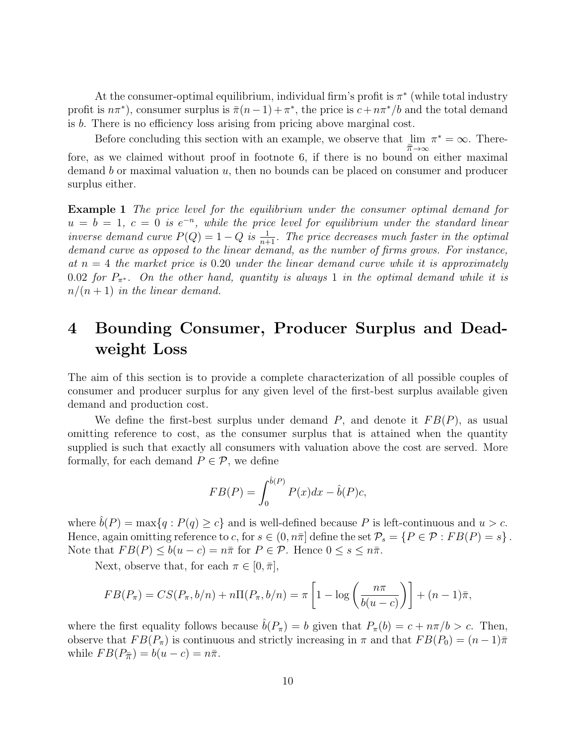At the consumer-optimal equilibrium, individual firm's profit is  $\pi^*$  (while total industry profit is  $n\pi^*$ , consumer surplus is  $\bar{\pi}(n-1) + \pi^*$ , the price is  $c + n\pi^* / b$  and the total demand is b. There is no efficiency loss arising from pricing above marginal cost.

Before concluding this section with an example, we observe that  $\lim$  $\bar{\pi} \rightarrow \infty$  $\pi^* = \infty$ . Therefore, as we claimed without proof in footnote 6, if there is no bound on either maximal demand b or maximal valuation  $u$ , then no bounds can be placed on consumer and producer surplus either.

Example 1 The price level for the equilibrium under the consumer optimal demand for  $u = b = 1, c = 0$  is  $e^{-n}$ , while the price level for equilibrium under the standard linear inverse demand curve  $P(Q) = 1 - Q$  is  $\frac{1}{n+1}$ . The price decreases much faster in the optimal demand curve as opposed to the linear demand, as the number of firms grows. For instance, at  $n = 4$  the market price is 0.20 under the linear demand curve while it is approximately 0.02 for  $P_{\pi^*}$ . On the other hand, quantity is always 1 in the optimal demand while it is  $n/(n+1)$  in the linear demand.

## 4 Bounding Consumer, Producer Surplus and Deadweight Loss

The aim of this section is to provide a complete characterization of all possible couples of consumer and producer surplus for any given level of the first-best surplus available given demand and production cost.

We define the first-best surplus under demand  $P$ , and denote it  $FB(P)$ , as usual omitting reference to cost, as the consumer surplus that is attained when the quantity supplied is such that exactly all consumers with valuation above the cost are served. More formally, for each demand  $P \in \mathcal{P}$ , we define

$$
FB(P) = \int_0^{\hat{b}(P)} P(x) dx - \hat{b}(P)c,
$$

where  $\hat{b}(P) = \max\{q : P(q) \geq c\}$  and is well-defined because P is left-continuous and  $u > c$ . Hence, again omitting reference to c, for  $s \in (0, n\bar{\pi}]$  define the set  $\mathcal{P}_s = \{P \in \mathcal{P} : FB(P) = s\}$ . Note that  $FB(P) \leq b(u-c) = n\bar{\pi}$  for  $P \in \mathcal{P}$ . Hence  $0 \leq s \leq n\bar{\pi}$ .

Next, observe that, for each  $\pi \in [0, \overline{\pi}]$ ,

$$
FB(P_{\pi}) = CS(P_{\pi}, b/n) + n\Pi(P_{\pi}, b/n) = \pi \left[1 - \log\left(\frac{n\pi}{b(u-c)}\right)\right] + (n-1)\bar{\pi},
$$

where the first equality follows because  $\hat{b}(P_{\pi}) = b$  given that  $P_{\pi}(b) = c + n\pi/b > c$ . Then, observe that  $FB(P_\pi)$  is continuous and strictly increasing in  $\pi$  and that  $FB(P_0) = (n-1)\bar{\pi}$ while  $FB(P_{\overline{\pi}}) = b(u-c) = n\overline{\pi}$ .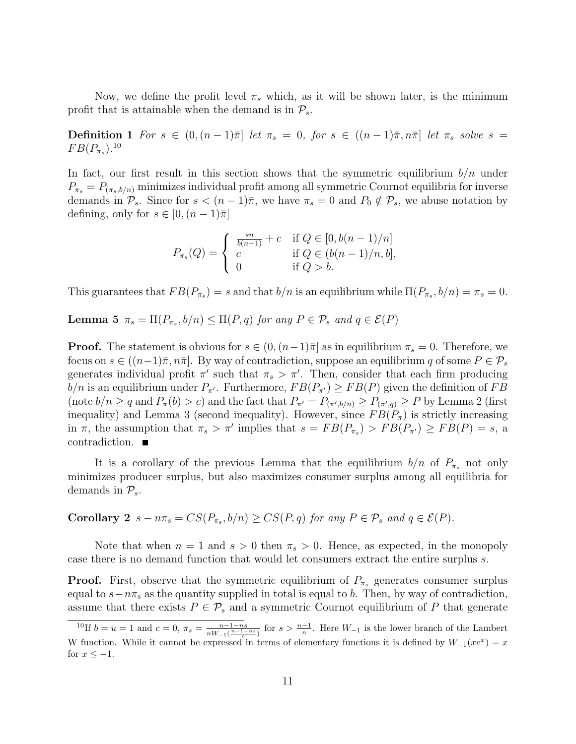Now, we define the profit level  $\pi_s$  which, as it will be shown later, is the minimum profit that is attainable when the demand is in  $\mathcal{P}_s$ .

Definition 1 For  $s \in (0,(n-1)\bar{\pi})$  let  $\pi_s = 0$ , for  $s \in ((n-1)\bar{\pi}, n\bar{\pi})$  let  $\pi_s$  solve  $s =$  $FB(P_{\pi_s})$ .<sup>10</sup>

In fact, our first result in this section shows that the symmetric equilibrium  $b/n$  under  $P_{\pi_s} = P_{(\pi_s, b/n)}$  minimizes individual profit among all symmetric Cournot equilibria for inverse demands in  $\mathcal{P}_s$ . Since for  $s < (n-1)\overline{\pi}$ , we have  $\pi_s = 0$  and  $P_0 \notin \mathcal{P}_s$ , we abuse notation by defining, only for  $s \in [0, (n-1)\overline{\pi}]$ 

$$
P_{\pi_s}(Q) = \begin{cases} \frac{s n}{b(n-1)} + c & \text{if } Q \in [0, b(n-1)/n] \\ c & \text{if } Q \in (b(n-1)/n, b], \\ 0 & \text{if } Q > b. \end{cases}
$$

This guarantees that  $FB(P_{\pi_s}) = s$  and that  $b/n$  is an equilibrium while  $\Pi(P_{\pi_s}, b/n) = \pi_s = 0$ .

**Lemma 5**  $\pi_s = \Pi(P_{\pi_s}, b/n) \leq \Pi(P, q)$  for any  $P \in \mathcal{P}_s$  and  $q \in \mathcal{E}(P)$ 

**Proof.** The statement is obvious for  $s \in (0, (n-1)\overline{\pi})$  as in equilibrium  $\pi_s = 0$ . Therefore, we focus on  $s \in ((n-1)\overline{\pi}, n\overline{\pi}]$ . By way of contradiction, suppose an equilibrium q of some  $P \in \mathcal{P}_s$ generates individual profit  $\pi'$  such that  $\pi_s > \pi'$ . Then, consider that each firm producing  $b/n$  is an equilibrium under  $P_{\pi'}$ . Furthermore,  $FB(P_{\pi'}) \geq FB(P)$  given the definition of FB (note  $b/n \ge q$  and  $P_\pi(b) > c$ ) and the fact that  $P_{\pi'} = P_{(\pi',b/n)} \ge P_{(\pi',q)} \ge P$  by Lemma 2 (first inequality) and Lemma 3 (second inequality). However, since  $FB(P_{\pi})$  is strictly increasing in  $\pi$ , the assumption that  $\pi_s > \pi'$  implies that  $s = FB(P_{\pi_s}) > FB(P_{\pi'}) \geq FB(P) = s$ , a contradiction.

It is a corollary of the previous Lemma that the equilibrium  $b/n$  of  $P_{\pi_s}$  not only minimizes producer surplus, but also maximizes consumer surplus among all equilibria for demands in  $\mathcal{P}_s$ .

**Corollary 2**  $s - n\pi_s = CS(P_{\pi_s}, b/n) \geq CS(P, q)$  for any  $P \in \mathcal{P}_s$  and  $q \in \mathcal{E}(P)$ .

Note that when  $n = 1$  and  $s > 0$  then  $\pi_s > 0$ . Hence, as expected, in the monopoly case there is no demand function that would let consumers extract the entire surplus s.

**Proof.** First, observe that the symmetric equilibrium of  $P_{\pi_s}$  generates consumer surplus equal to  $s - n\pi_s$  as the quantity supplied in total is equal to b. Then, by way of contradiction, assume that there exists  $P \in \mathcal{P}_s$  and a symmetric Cournot equilibrium of P that generate

<sup>&</sup>lt;sup>10</sup>If  $b = u = 1$  and  $c = 0$ ,  $\pi_s = \frac{n-1-ns}{nW_s(n-1)}$  $\frac{n-1-ns}{nW_{-1}(\frac{n-1-ns}{e})}$  for  $s > \frac{n-1}{n}$ . Here  $W_{-1}$  is the lower branch of the Lambert W function. While it cannot be expressed in terms of elementary functions it is defined by  $W_{-1}(xe^x) = x$ for  $x \leq -1$ .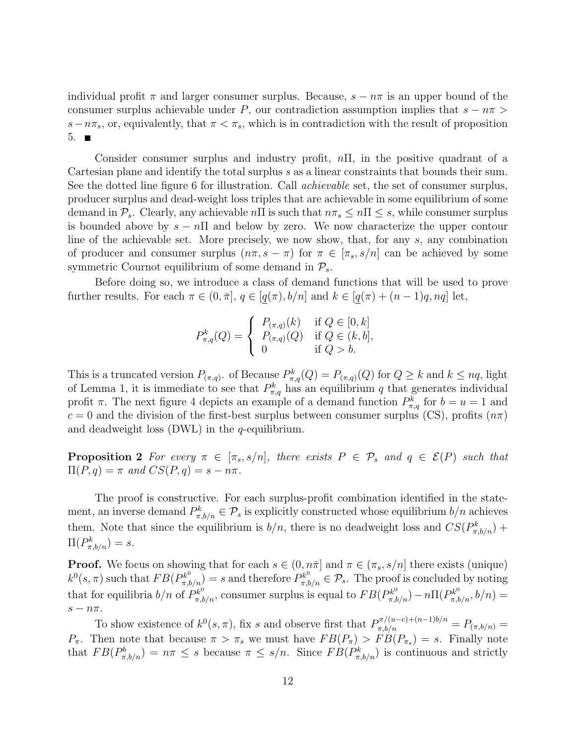individual profit  $\pi$  and larger consumer surplus. Because,  $s - n\pi$  is an upper bound of the consumer surplus achievable under P, our contradiction assumption implies that  $s - n\pi >$  $s-n\pi_s$ , or, equivalently, that  $\pi < \pi_s$ , which is in contradiction with the result of proposition  $5.$ 

Consider consumer surplus and industry profit,  $n\Pi$ , in the positive quadrant of a Cartesian plane and identify the total surplus s as a linear constraints that bounds their sum. See the dotted line figure 6 for illustration. Call achievable set, the set of consumer surplus, producer surplus and dead-weight loss triples that are achievable in some equilibrium of some demand in  $\mathcal{P}_s$ . Clearly, any achievable nΠ is such that  $n\pi_s \leq n\pi \leq s$ , while consumer surplus is bounded above by  $s - n\Pi$  and below by zero. We now characterize the upper contour line of the achievable set. More precisely, we now show, that, for any s, any combination of producer and consumer surplus  $(n\pi, s - \pi)$  for  $\pi \in [\pi_s, s/n]$  can be achieved by some symmetric Cournot equilibrium of some demand in  $P_s$ .

Before doing so, we introduce a class of demand functions that will be used to prove further results. For each  $\pi \in (0, \bar{\pi}], q \in [q(\pi), b/n]$  and  $k \in [q(\pi) + (n-1)q, nq]$  let,

$$
P_{\pi,q}^k(Q) = \begin{cases} P_{(\pi,q)}(k) & \text{if } Q \in [0,k] \\ P_{(\pi,q)}(Q) & \text{if } Q \in (k,b], \\ 0 & \text{if } Q > b. \end{cases}
$$

This is a truncated version  $P_{(\pi,q)}$ . of Because  $P_{\pi,q}^k(Q) = P_{(\pi,q)}(Q)$  for  $Q \geq k$  and  $k \leq nq$ , light of Lemma 1, it is immediate to see that  $P_{\pi,q}^k$  has an equilibrium q that generates individual profit  $\pi$ . The next figure 4 depicts an example of a demand function  $P_{\pi,q}^k$  for  $b = u = 1$  and  $c = 0$  and the division of the first-best surplus between consumer surplus (CS), profits  $(n\pi)$ and deadweight loss  $(DWL)$  in the q-equilibrium.

**Proposition 2** For every  $\pi \in [\pi_s, s/n]$ , there exists  $P \in \mathcal{P}_s$  and  $q \in \mathcal{E}(P)$  such that  $\Pi(P,q) = \pi$  and  $CS(P,q) = s - n\pi$ .

The proof is constructive. For each surplus-profit combination identified in the statement, an inverse demand  $P_{\pi,b/n}^k \in \mathcal{P}_s$  is explicitly constructed whose equilibrium  $b/n$  achieves them. Note that since the equilibrium is  $b/n$ , there is no deadweight loss and  $CS(P_{\pi,b/n}^k)$  +  $\Pi(P^k_{\pi,b/n})=s.$ 

**Proof.** We focus on showing that for each  $s \in (0, n\bar{\pi}]$  and  $\pi \in (\pi_s, s/n]$  there exists (unique)  $k^0(s, \pi)$  such that  $FB(P_{\pi, b/n}^{k^0}) = s$  and therefore  $P_{\pi, b/n}^{k^0} \in \mathcal{P}_s$ . The proof is concluded by noting that for equilibria  $b/n$  of  $P_{\pi,b/n}^{k^0}$ , consumer surplus is equal to  $FB(P_{\pi,b/n}^{k^0}) - n\Pi(P_{\pi,b/n}^{k^0}, b/n) =$  $s - n\pi$ .

To show existence of  $k^0(s, \pi)$ , fix s and observe first that  $P^{\pi/(u-c)+(n-1)b/n}_{\pi, b/n} = P_{(\pi, b/n)} =$  $P_{\pi}$ . Then note that because  $\pi > \pi_s$  we must have  $FB(P_{\pi}) > FB(P_{\pi_s}) = s$ . Finally note that  $FB(P_{\pi,b/n}^b) = n\pi \leq s$  because  $\pi \leq s/n$ . Since  $FB(P_{\pi,b/n}^k)$  is continuous and strictly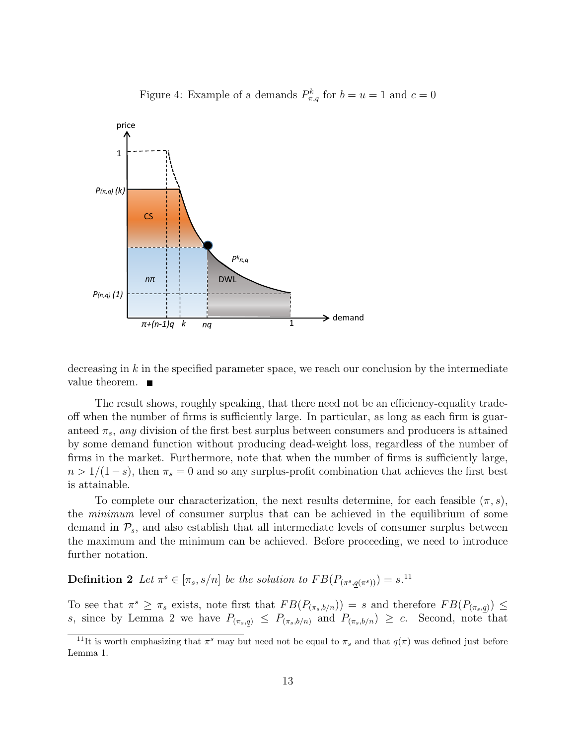

Figure 4: Example of a demands  $P_{\pi,q}^k$  for  $b = u = 1$  and  $c = 0$ 

decreasing in  $k$  in the specified parameter space, we reach our conclusion by the intermediate value theorem.  $\blacksquare$ 

The result shows, roughly speaking, that there need not be an efficiency-equality tradeoff when the number of firms is sufficiently large. In particular, as long as each firm is guaranteed  $\pi_s$ , any division of the first best surplus between consumers and producers is attained by some demand function without producing dead-weight loss, regardless of the number of firms in the market. Furthermore, note that when the number of firms is sufficiently large,  $n > 1/(1-s)$ , then  $\pi_s = 0$  and so any surplus-profit combination that achieves the first best is attainable.

To complete our characterization, the next results determine, for each feasible  $(\pi, s)$ , the minimum level of consumer surplus that can be achieved in the equilibrium of some demand in  $\mathcal{P}_s$ , and also establish that all intermediate levels of consumer surplus between the maximum and the minimum can be achieved. Before proceeding, we need to introduce further notation.

**Definition 2** Let  $\pi^s \in [\pi_s, s/n]$  be the solution to  $FB(P_{(\pi^s, q(\pi^s))}) = s$ .<sup>11</sup>

To see that  $\pi^s \geq \pi_s$  exists, note first that  $FB(P_{(\pi_s,b/n)}) = s$  and therefore  $FB(P_{(\pi_s,q)}) \leq$ s, since by Lemma 2 we have  $P_{(\pi_s,q)} \leq P_{(\pi_s,b/n)}$  and  $P_{(\pi_s,b/n)} \geq c$ . Second, note that

<sup>&</sup>lt;sup>11</sup>It is worth emphasizing that  $\pi^s$  may but need not be equal to  $\pi_s$  and that  $q(\pi)$  was defined just before Lemma 1.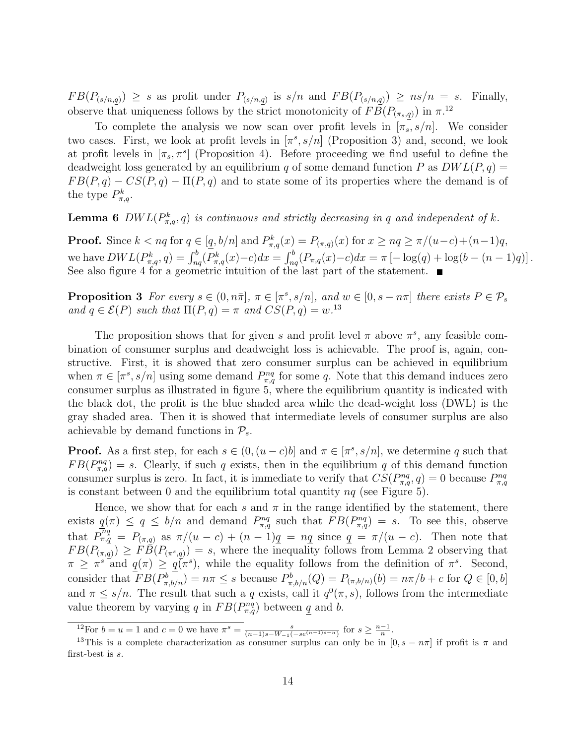$FB(P_{(s/n,q)}) \geq s$  as profit under  $P_{(s/n,q)}$  is  $s/n$  and  $FB(P_{(s/n,q)}) \geq ns/n = s$ . Finally, observe that uniqueness follows by the strict monotonicity of  $FB(P_{(\pi_s,q)})$  in  $\pi^{12}$ 

To complete the analysis we now scan over profit levels in  $[\pi_s, s/n]$ . We consider two cases. First, we look at profit levels in  $[\pi^s, s/n]$  (Proposition 3) and, second, we look at profit levels in  $[\pi_s, \pi^s]$  (Proposition 4). Before proceeding we find useful to define the deadweight loss generated by an equilibrium q of some demand function P as  $DWL(P, q)$  =  $FB(P, q) - CS(P, q) - \Pi(P, q)$  and to state some of its properties where the demand is of the type  $P_{\pi,q}^k$ .

**Lemma 6** DWL( $P_{\pi,q}^k$ , q) is continuous and strictly decreasing in q and independent of k.

**Proof.** Since  $k < nq$  for  $q \in [q, b/n]$  and  $P_{\pi,q}^k(x) = P_{(\pi,q)}(x)$  for  $x \ge nq \ge \pi/(u-c)+(n-1)q$ , we have  $DWL(P_{\pi,q}^k, q) = \int_{nq}^b (P_{\pi,q}^k(x) - c) dx = \int_{nq}^b (P_{\pi,q}(x) - c) dx = \pi \left[ -\log(q) + \log(b - (n-1)q) \right].$ See also figure 4 for a geometric intuition of the last part of the statement.

**Proposition 3** For every  $s \in (0, n\overline{\pi}], \pi \in [\pi^s, s/n],$  and  $w \in [0, s - n\pi]$  there exists  $P \in \mathcal{P}_s$ and  $q \in \mathcal{E}(P)$  such that  $\Pi(P,q) = \pi$  and  $CS(P,q) = w^{13}$ 

The proposition shows that for given s and profit level  $\pi$  above  $\pi^s$ , any feasible combination of consumer surplus and deadweight loss is achievable. The proof is, again, constructive. First, it is showed that zero consumer surplus can be achieved in equilibrium when  $\pi \in [\pi^s, s/n]$  using some demand  $P_{\pi,q}^{nq}$  for some q. Note that this demand induces zero consumer surplus as illustrated in figure 5, where the equilibrium quantity is indicated with the black dot, the profit is the blue shaded area while the dead-weight loss (DWL) is the gray shaded area. Then it is showed that intermediate levels of consumer surplus are also achievable by demand functions in  $\mathcal{P}_{s}$ .

**Proof.** As a first step, for each  $s \in (0, (u-c)b]$  and  $\pi \in [\pi^s, s/n]$ , we determine q such that  $FB(P_{\pi,q}^{nq}) = s$ . Clearly, if such q exists, then in the equilibrium q of this demand function consumer surplus is zero. In fact, it is immediate to verify that  $CS(P_{\pi,q}^{nq},q) = 0$  because  $P_{\pi,q}^{nq}$ is constant between 0 and the equilibrium total quantity  $nq$  (see Figure 5).

Hence, we show that for each s and  $\pi$  in the range identified by the statement, there exists  $q(\pi) \le q \le b/n$  and demand  $P_{\pi,q}^{nq}$  such that  $FB(P_{\pi,q}^{nq}) = s$ . To see this, observe that  $P_{\pi,q}^{\overline{n}q} = P_{(\pi,q)}$  as  $\pi/(u-c) + (n-1)q = nq$  since  $q = \pi/(u-c)$ . Then note that  $FB(P_{(\pi,q)}) \geq F\bar{B}(P_{(\pi^s,q)}) = s$ , where the inequality follows from Lemma 2 observing that  $\pi \geq \pi^{s}$  and  $q(\pi) \geq q(\pi^{s})$ , while the equality follows from the definition of  $\pi^{s}$ . Second, consider that  $FB(P_{\pi,b/n}^b) = n\pi \leq s$  because  $P_{\pi,b/n}^b(Q) = P_{(\pi,b/n)}(b) = n\pi/b + c$  for  $Q \in [0,b]$ and  $\pi \leq s/n$ . The result that such a q exists, call it  $q^{0}(\pi, s)$ , follows from the intermediate value theorem by varying q in  $FB(P_{\pi,q}^{nq})$  between q and b.

<sup>&</sup>lt;sup>12</sup>For  $b = u = 1$  and  $c = 0$  we have  $\pi^s = \frac{s}{(n-1)s - W_{-1}(-se^{(n-1)s-n})}$  for  $s \ge \frac{n-1}{n}$ .

<sup>&</sup>lt;sup>13</sup>This is a complete characterization as consumer surplus can only be in  $[0, s - n\pi]$  if profit is  $\pi$  and first-best is s.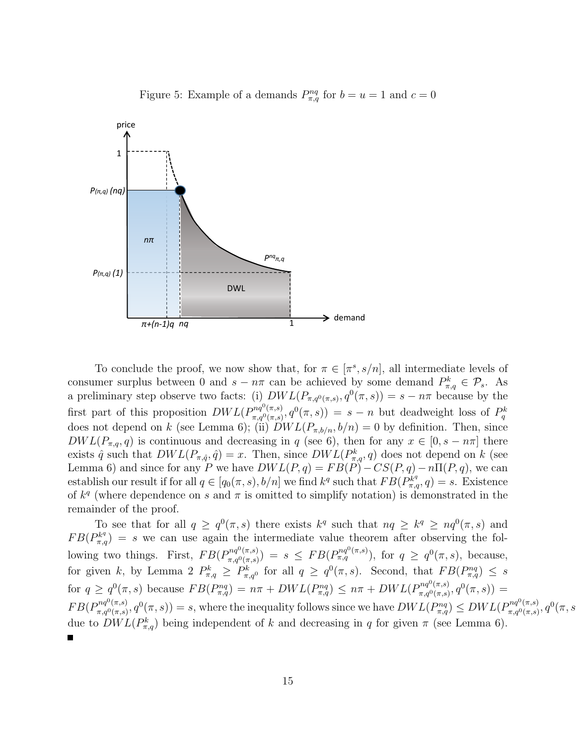

Figure 5: Example of a demands  $P_{\pi,q}^{nq}$  for  $b=u=1$  and  $c=0$ 

To conclude the proof, we now show that, for  $\pi \in [\pi^s, s/n]$ , all intermediate levels of consumer surplus between 0 and  $s - n\pi$  can be achieved by some demand  $P_{\pi,q}^k \in \mathcal{P}_s$ . As a preliminary step observe two facts: (i)  $DWL(P_{\pi,q^0(\pi,s)},q^0(\pi,s))=s-n\pi$  because by the first part of this proposition  $DWL(P_{\pi, o^{0}(\pi, s)}^{nq^{0}(\pi, s)})$  $\pi_{\eta} q^{nq^{\sigma}(\pi,s)}, q^{0}(\pi,s)) = s - n$  but deadweight loss of  $P_q^k$ does not depend on k (see Lemma 6); (ii)  $DWL(P_{\pi,b/n}, b/n) = 0$  by definition. Then, since  $DWL(P_{\pi,q}, q)$  is continuous and decreasing in q (see 6), then for any  $x \in [0, s - n\pi]$  there exists  $\hat{q}$  such that  $DWL(P_{\pi,\hat{q}},\hat{q})=x$ . Then, since  $DWL(P_{\pi,q}^k,q)$  does not depend on k (see Lemma 6) and since for any P we have  $DWL(P,q) = FB(P) - CS(P,q) - n\Pi(P,q)$ , we can establish our result if for all  $q \in [q_0(\pi, s), b/n]$  we find  $k^q$  such that  $FB(P_{\pi,q}^{k^q}, q) = s$ . Existence of  $k^q$  (where dependence on s and  $\pi$  is omitted to simplify notation) is demonstrated in the remainder of the proof.

To see that for all  $q \geq q^0(\pi, s)$  there exists  $k^q$  such that  $nq \geq k^q \geq nq^0(\pi, s)$  and  $FB(P_{\pi,q}^{k^q}) = s$  we can use again the intermediate value theorem after observing the following two things. First,  $FB(P_{\pi a^0(\pi s)}^{nq^0(\pi,s)})$  $\pi_{\pi,q^{0}(\pi,s)}^{nq^{0}(\pi,s))} = s \leq FB(P_{\pi,q}^{nq^{0}(\pi,s)})$ , for  $q \geq q^{0}(\pi,s)$ , because, for given k, by Lemma 2  $P_{\pi,q}^k \ge P_{\pi,q}^k$  for all  $q \ge q^0(\pi,s)$ . Second, that  $FB(P_{\pi,q}^{nq}) \le s$ for  $q \ge q^0(\pi, s)$  because  $FB(P_{\pi,q}^{nq}) = n\pi + DWL(P_{\pi,q}^{nq}) \le n\pi + DWL(P_{\pi,q}^{nq0}(\pi, s))$  $g^{nq^{\sigma}(\pi,s)}_{\pi,q^0(\pi,s)},q^0(\pi,s))=$  $FB(P_{\pi,q0(\pi,s)}^{nq^0(\pi,s)}$  $\pi_{\pi,q^0(\pi,s)}^{nq^0(\pi,s)}, q^0(\pi,s)$  = s, where the inequality follows since we have  $DWL(P^{nq}_{\pi,q}) \leq DWL(P^{nq^0(\pi,s)}_{\pi,q^0(\pi,s)})$  $g_{\pi,q^0(\pi,s)}^{nq^0(\pi,s)}, q^0(\pi,s)$ due to  $DWL(P_{\pi,q}^k)$  being independent of k and decreasing in q for given  $\pi$  (see Lemma 6).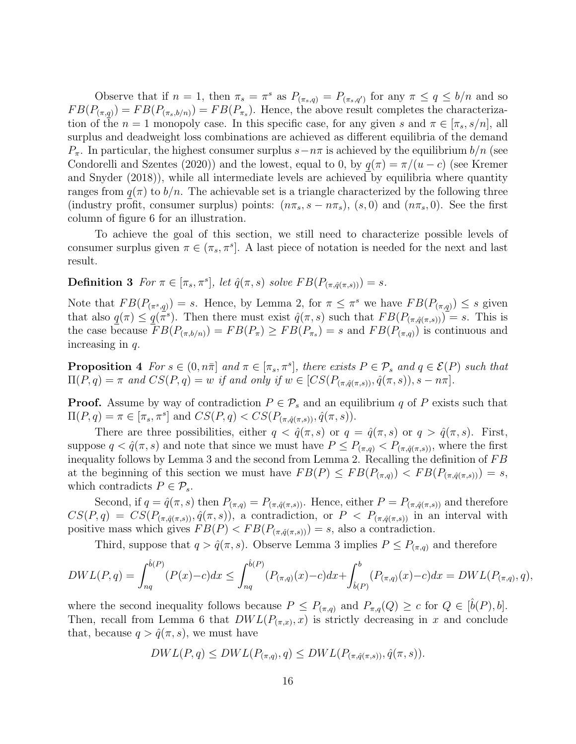Observe that if  $n = 1$ , then  $\pi_s = \pi^s$  as  $P_{(\pi_s,q)} = P_{(\pi_s,q')}$  for any  $\pi \le q \le b/n$  and so  $FB(P_{(\pi,q)}) = FB(P_{(\pi_s,b/n)}) = FB(P_{\pi_s})$ . Hence, the above result completes the characterization of the  $n = 1$  monopoly case. In this specific case, for any given s and  $\pi \in [\pi_s, s/n]$ , all surplus and deadweight loss combinations are achieved as different equilibria of the demand  $P_{\pi}$ . In particular, the highest consumer surplus  $s-n\pi$  is achieved by the equilibrium  $b/n$  (see Condorelli and Szentes (2020)) and the lowest, equal to 0, by  $q(\pi) = \pi/(u - c)$  (see Kremer and Snyder (2018)), while all intermediate levels are achieved by equilibria where quantity ranges from  $q(\pi)$  to  $b/n$ . The achievable set is a triangle characterized by the following three (industry profit, consumer surplus) points:  $(n\pi_s, s - n\pi_s)$ ,  $(s, 0)$  and  $(n\pi_s, 0)$ . See the first column of figure 6 for an illustration.

To achieve the goal of this section, we still need to characterize possible levels of consumer surplus given  $\pi \in (\pi_s, \pi^s]$ . A last piece of notation is needed for the next and last result.

**Definition 3** For  $\pi \in [\pi_s, \pi^s]$ , let  $\hat{q}(\pi, s)$  solve  $FB(P_{(\pi, \hat{q}(\pi, s))}) = s$ .

Note that  $FB(P_{(\pi^s,q)}) = s$ . Hence, by Lemma 2, for  $\pi \leq \pi^s$  we have  $FB(P_{(\pi,q)}) \leq s$  given that also  $q(\pi) \leq q(\bar{\pi}^s)$ . Then there must exist  $\hat{q}(\pi, s)$  such that  $FB(P_{(\pi, \hat{q}(\pi, s))})$  = s. This is the case because  $FB(P_{(\pi,b/n)}) = FB(P_{\pi}) \geq FB(P_{\pi_s}) = s$  and  $FB(P_{(\pi,q)})$  is continuous and increasing in  $q$ .

**Proposition 4** For  $s \in (0, n\bar{\pi})$  and  $\pi \in [\pi_s, \pi^s]$ , there exists  $P \in \mathcal{P}_s$  and  $q \in \mathcal{E}(P)$  such that  $\Pi(P,q) = \pi$  and  $CS(P,q) = w$  if and only if  $w \in [CS(P_{(\pi,\hat{q}(\pi,s))}, \hat{q}(\pi,s)), s - n\pi]$ .

**Proof.** Assume by way of contradiction  $P \in \mathcal{P}_s$  and an equilibrium q of P exists such that  $\Pi(P,q) = \pi \in [\pi_s, \pi^s]$  and  $CS(P,q) < CS(P_{(\pi,\hat{q}(\pi,s))}, \hat{q}(\pi,s)).$ 

There are three possibilities, either  $q < \hat{q}(\pi, s)$  or  $q = \hat{q}(\pi, s)$  or  $q > \hat{q}(\pi, s)$ . First, suppose  $q < \hat{q}(\pi, s)$  and note that since we must have  $P \leq P_{(\pi, q)} < P_{(\pi, \hat{q}(\pi, s))}$ , where the first inequality follows by Lemma 3 and the second from Lemma 2. Recalling the definition of  $FB$ at the beginning of this section we must have  $FB(P) \leq FB(P_{(\pi,q)}) < FB(P_{(\pi,\hat{q}(\pi,s))}) = s$ , which contradicts  $P \in \mathcal{P}_s$ .

Second, if  $q = \hat{q}(\pi, s)$  then  $P_{(\pi,q)} = P_{(\pi,\hat{q}(\pi,s))}$ . Hence, either  $P = P_{(\pi,\hat{q}(\pi,s))}$  and therefore  $CS(P, q) = CS(P_{(\pi, \hat{q}(\pi, s))}, \hat{q}(\pi, s))$ , a contradiction, or  $P < P_{(\pi, \hat{q}(\pi, s))}$  in an interval with positive mass which gives  $FB(P) < FB(P_{(\pi,\hat{q}(\pi,s))}) = s$ , also a contradiction.

Third, suppose that  $q > \hat{q}(\pi, s)$ . Observe Lemma 3 implies  $P \leq P_{(\pi,q)}$  and therefore

$$
DWL(P,q) = \int_{nq}^{\hat{b}(P)} (P(x)-c)dx \le \int_{nq}^{\hat{b}(P)} (P_{(\pi,q)}(x)-c)dx + \int_{\hat{b}(P)}^b (P_{(\pi,q)}(x)-c)dx = DWL(P_{(\pi,q)},q),
$$

where the second inequality follows because  $P \leq P_{(\pi,q)}$  and  $P_{\pi,q}(Q) \geq c$  for  $Q \in [\hat{b}(P), b]$ . Then, recall from Lemma 6 that  $DWL(P_{(\pi,x)}, x)$  is strictly decreasing in x and conclude that, because  $q > \hat{q}(\pi, s)$ , we must have

$$
DWL(P,q) \leq DWL(P_{(\pi,q)},q) \leq DWL(P_{(\pi,\hat{q}(\pi,s))},\hat{q}(\pi,s)).
$$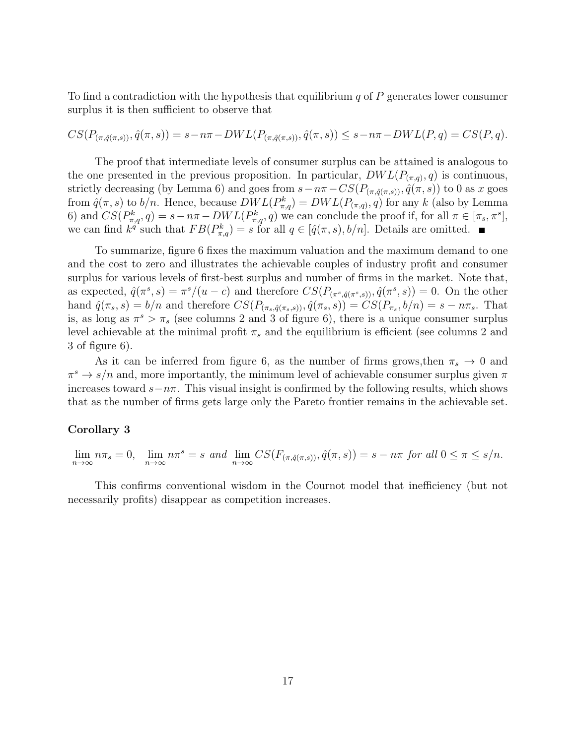To find a contradiction with the hypothesis that equilibrium  $q$  of  $P$  generates lower consumer surplus it is then sufficient to observe that

$$
CS(P_{(\pi,\hat{q}(\pi,s))},\hat{q}(\pi,s)) = s - n\pi - DWL(P_{(\pi,\hat{q}(\pi,s))},\hat{q}(\pi,s)) \leq s - n\pi - DWL(P,q) = CS(P,q).
$$

The proof that intermediate levels of consumer surplus can be attained is analogous to the one presented in the previous proposition. In particular,  $DWL(P_{(\pi,q)}, q)$  is continuous, strictly decreasing (by Lemma 6) and goes from  $s-n\pi-CS(P_{(\pi,\hat{q}(\pi,s))},\hat{q}(\pi,s))$  to 0 as x goes from  $\hat{q}(\pi, s)$  to  $b/n$ . Hence, because  $DWL(P_{\pi,q}^k) = DWL(P_{(\pi,q)}, q)$  for any k (also by Lemma 6) and  $CS(P_{\pi,q}^k, q) = s - n\pi - DWL(P_{\pi,q}^k, q)$  we can conclude the proof if, for all  $\pi \in [\pi_s, \pi^s]$ , we can find  $k^{\tilde{q}}$  such that  $FB(P_{\pi,q}^k) = s$  for all  $q \in [\hat{q}(\pi, s), b/n]$ . Details are omitted.

To summarize, figure 6 fixes the maximum valuation and the maximum demand to one and the cost to zero and illustrates the achievable couples of industry profit and consumer surplus for various levels of first-best surplus and number of firms in the market. Note that, as expected,  $\hat{q}(\pi^s, s) = \pi^s/(u-c)$  and therefore  $CS(P_{(\pi^s, \hat{q}(\pi^s, s))}, \hat{q}(\pi^s, s)) = 0$ . On the other hand  $\hat{q}(\pi_s, s) = b/n$  and therefore  $CS(P_{(\pi_s, \hat{q}(\pi_s, s))}, \hat{q}(\pi_s, s)) = CS(P_{\pi_s}, b/n) = s - n\pi_s$ . That is, as long as  $\pi^s > \pi_s$  (see columns 2 and 3 of figure 6), there is a unique consumer surplus level achievable at the minimal profit  $\pi_s$  and the equilibrium is efficient (see columns 2 and 3 of figure 6).

As it can be inferred from figure 6, as the number of firms grows, then  $\pi_s \to 0$  and  $\pi^s \to s/n$  and, more importantly, the minimum level of achievable consumer surplus given  $\pi$ increases toward  $s - n\pi$ . This visual insight is confirmed by the following results, which shows that as the number of firms gets large only the Pareto frontier remains in the achievable set.

#### Corollary 3

$$
\lim_{n \to \infty} n\pi_s = 0, \quad \lim_{n \to \infty} n\pi^s = s \text{ and } \lim_{n \to \infty} CS(F_{(\pi, \hat{q}(\pi, s))}, \hat{q}(\pi, s)) = s - n\pi \text{ for all } 0 \le \pi \le s/n.
$$

This confirms conventional wisdom in the Cournot model that inefficiency (but not necessarily profits) disappear as competition increases.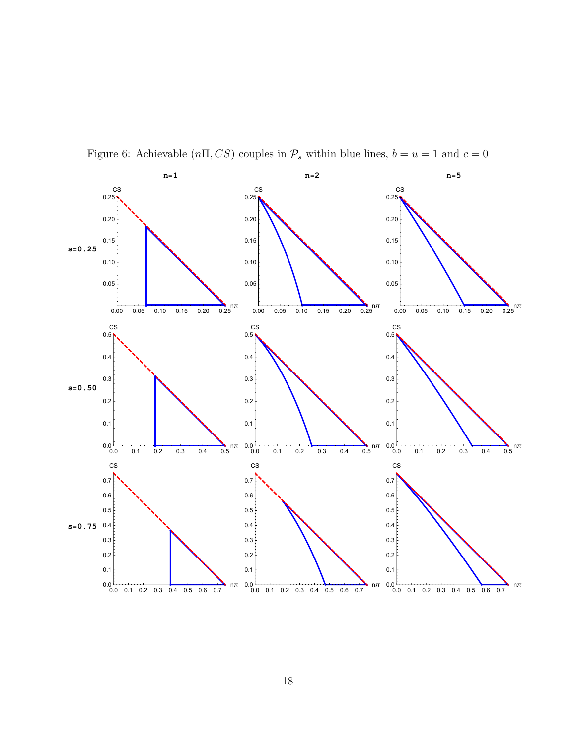

Figure 6: Achievable ( $n\Pi$ , CS) couples in  $\mathcal{P}_s$  within blue lines,  $b = u = 1$  and  $c = 0$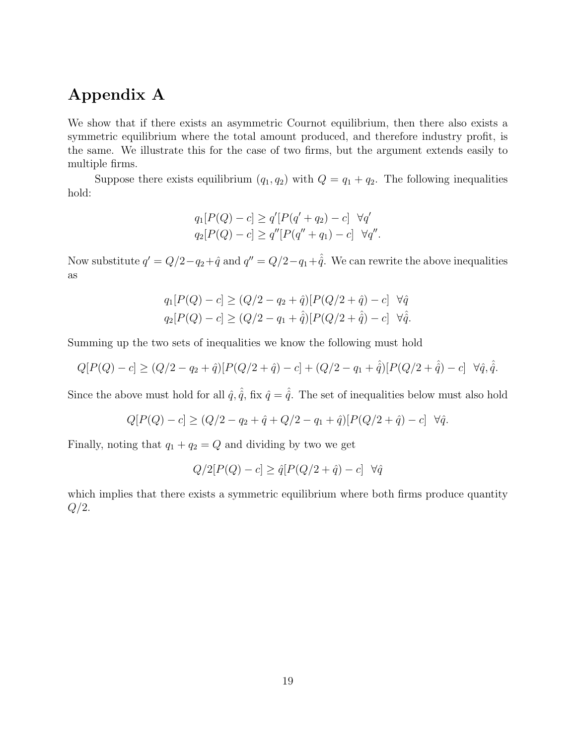## Appendix A

We show that if there exists an asymmetric Cournot equilibrium, then there also exists a symmetric equilibrium where the total amount produced, and therefore industry profit, is the same. We illustrate this for the case of two firms, but the argument extends easily to multiple firms.

Suppose there exists equilibrium  $(q_1, q_2)$  with  $Q = q_1 + q_2$ . The following inequalities hold:

$$
q_1[P(Q) - c] \ge q'[P(q' + q_2) - c] \quad \forall q'
$$
  

$$
q_2[P(Q) - c] \ge q''[P(q'' + q_1) - c] \quad \forall q''.
$$

Now substitute  $q' = Q/2 - q_2 + \hat{q}$  and  $q'' = Q/2 - q_1 + \hat{q}$ . We can rewrite the above inequalities as

$$
q_1[P(Q) - c] \ge (Q/2 - q_2 + \hat{q})[P(Q/2 + \hat{q}) - c] \quad \forall \hat{q}
$$
  

$$
q_2[P(Q) - c] \ge (Q/2 - q_1 + \hat{q})[P(Q/2 + \hat{q}) - c] \quad \forall \hat{q}.
$$

Summing up the two sets of inequalities we know the following must hold

$$
Q[P(Q) - c] \geq (Q/2 - q_2 + \hat{q})[P(Q/2 + \hat{q}) - c] + (Q/2 - q_1 + \hat{q})[P(Q/2 + \hat{q}) - c] \quad \forall \hat{q}, \hat{\hat{q}}.
$$

Since the above must hold for all  $\hat{q}$ ,  $\hat{q}$ , fix  $\hat{q} = \hat{\hat{q}}$ . The set of inequalities below must also hold

$$
Q[P(Q) - c] \ge (Q/2 - q_2 + \hat{q} + Q/2 - q_1 + \hat{q})[P(Q/2 + \hat{q}) - c] \quad \forall \hat{q}.
$$

Finally, noting that  $q_1 + q_2 = Q$  and dividing by two we get

$$
Q/2[P(Q) - c] \ge \hat{q}[P(Q/2 + \hat{q}) - c] \quad \forall \hat{q}
$$

which implies that there exists a symmetric equilibrium where both firms produce quantity  $Q/2$ .